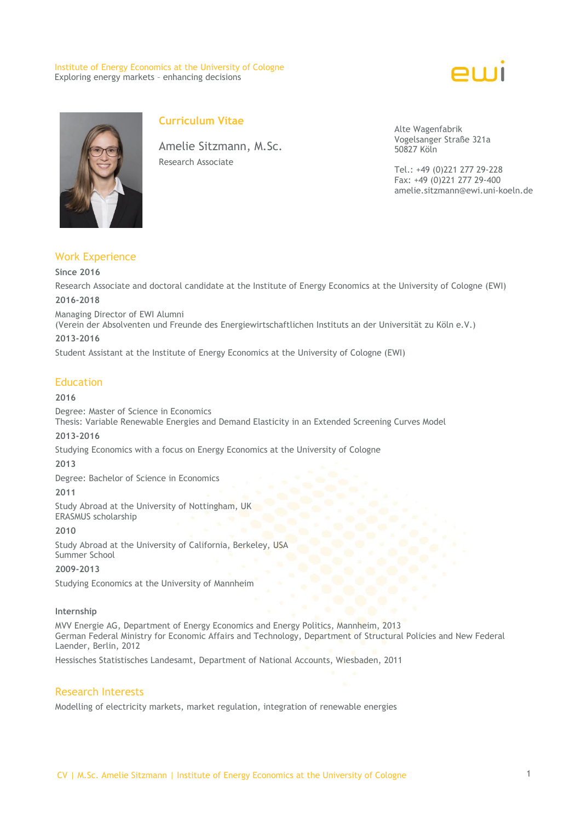#### Institute of Energy Economics at the University of Cologne Exploring energy markets – enhancing decisions





# **Curriculum Vitae**

Amelie Sitzmann, M.Sc. Research Associate

Alte Wagenfabrik Vogelsanger Straße 321a 50827 Köln

Tel.: +49 (0)221 277 29-228 Fax: +49 (0)221 277 29-400 amelie.sitzmann@ewi.uni-koeln.de

## Work Experience

#### **Since 2016**

Research Associate and doctoral candidate at the Institute of Energy Economics at the University of Cologne (EWI)

## **2016-2018**

Managing Director of EWI Alumni

(Verein der Absolventen und Freunde des Energiewirtschaftlichen Instituts an der Universität zu Köln e.V.) **2013-2016**

Student Assistant at the Institute of Energy Economics at the University of Cologne (EWI)

### Education

#### **2016**

Degree: Master of Science in Economics Thesis: Variable Renewable Energies and Demand Elasticity in an Extended Screening Curves Model

#### **2013-2016**

Studying Economics with a focus on Energy Economics at the University of Cologne

**2013**

Degree: Bachelor of Science in Economics

**2011**

Study Abroad at the University of Nottingham, UK ERASMUS scholarship

#### **2010**

Study Abroad at the University of California, Berkeley, USA Summer School

#### **2009-2013**

Studying Economics at the University of Mannheim

#### **Internship**

MVV Energie AG, Department of Energy Economics and Energy Politics, Mannheim, 2013 German Federal Ministry for Economic Affairs and Technology, Department of Structural Policies and New Federal Laender, Berlin, 2012

Hessisches Statistisches Landesamt, Department of National Accounts, Wiesbaden, 2011

### Research Interests

Modelling of electricity markets, market regulation, integration of renewable energies